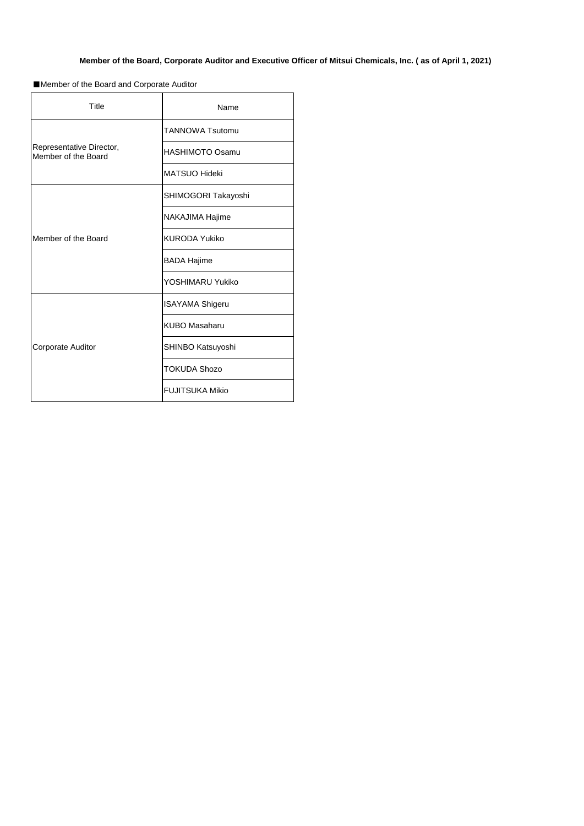| <b>Title</b>                                    | Name                   |
|-------------------------------------------------|------------------------|
|                                                 | <b>TANNOWA Tsutomu</b> |
| Representative Director,<br>Member of the Board | <b>HASHIMOTO Osamu</b> |
|                                                 | <b>MATSUO Hideki</b>   |
|                                                 | SHIMOGORI Takayoshi    |
|                                                 | NAKAJIMA Hajime        |
| Member of the Board                             | <b>KURODA Yukiko</b>   |
|                                                 | <b>BADA Hajime</b>     |
|                                                 | YOSHIMARU Yukiko       |
|                                                 | <b>ISAYAMA Shigeru</b> |
|                                                 | <b>KUBO Masaharu</b>   |
| <b>Corporate Auditor</b>                        | SHINBO Katsuyoshi      |
|                                                 | <b>TOKUDA Shozo</b>    |
|                                                 | <b>FUJITSUKA Mikio</b> |

## **Member of the Board, Corporate Auditor and Executive Officer of Mitsui Chemicals, Inc. ( as of April 1, 2021)**

■Member of the Board and Corporate Auditor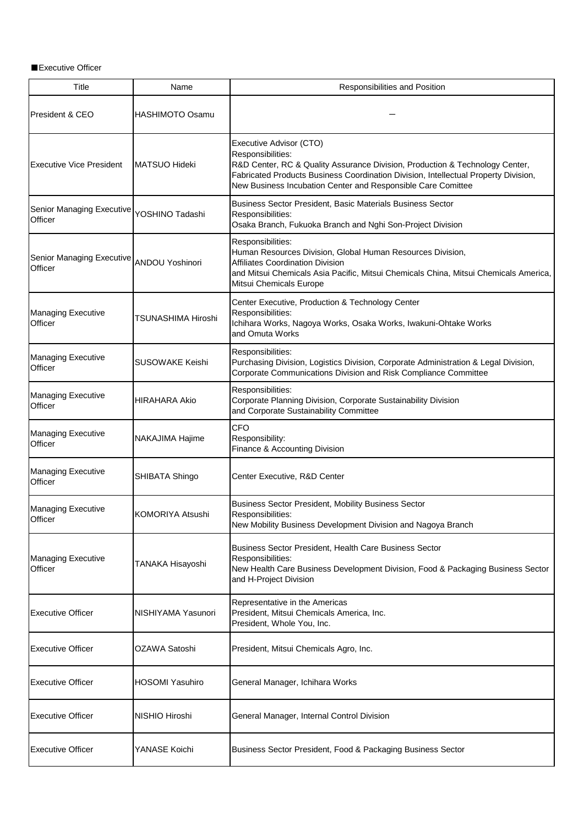■Executive Officer

| <b>Title</b>                                         | Name                    | Responsibilities and Position                                                                                                                                                                                                                                                       |
|------------------------------------------------------|-------------------------|-------------------------------------------------------------------------------------------------------------------------------------------------------------------------------------------------------------------------------------------------------------------------------------|
| President & CEO                                      | <b>HASHIMOTO Osamu</b>  |                                                                                                                                                                                                                                                                                     |
| <b>Executive Vice President</b>                      | MATSUO Hideki           | Executive Advisor (CTO)<br>Responsibilities:<br>R&D Center, RC & Quality Assurance Division, Production & Technology Center,<br>Fabricated Products Business Coordination Division, Intellectual Property Division,<br>New Business Incubation Center and Responsible Care Comittee |
| Senior Managing Executive YOSHINO Tadashi<br>Officer |                         | Business Sector President, Basic Materials Business Sector<br>Responsibilities:<br>Osaka Branch, Fukuoka Branch and Nghi Son-Project Division                                                                                                                                       |
| Senior Managing Executive ANDOU Yoshinori<br>Officer |                         | Responsibilities:<br>Human Resources Division, Global Human Resources Division,<br><b>Affiliates Coordination Division</b><br>and Mitsui Chemicals Asia Pacific, Mitsui Chemicals China, Mitsui Chemicals America,<br>Mitsui Chemicals Europe                                       |
| <b>Managing Executive</b><br>Officer                 | TSUNASHIMA Hiroshi      | Center Executive, Production & Technology Center<br>Responsibilities:<br>Ichihara Works, Nagoya Works, Osaka Works, Iwakuni-Ohtake Works<br>and Omuta Works                                                                                                                         |
| <b>Managing Executive</b><br>Officer                 | <b>SUSOWAKE Keishi</b>  | Responsibilities:<br>Purchasing Division, Logistics Division, Corporate Administration & Legal Division,<br>Corporate Communications Division and Risk Compliance Committee                                                                                                         |
| <b>Managing Executive</b><br>Officer                 | <b>HIRAHARA Akio</b>    | Responsibilities:<br>Corporate Planning Division, Corporate Sustainability Division<br>and Corporate Sustainability Committee                                                                                                                                                       |
| <b>Managing Executive</b><br>Officer                 | <b>NAKAJIMA Hajime</b>  | <b>CFO</b><br>Responsibility:<br>Finance & Accounting Division                                                                                                                                                                                                                      |
| <b>Managing Executive</b><br><b>Officer</b>          | SHIBATA Shingo          | Center Executive, R&D Center                                                                                                                                                                                                                                                        |
| <b>Managing Executive</b><br>Officer                 | <b>KOMORIYA Atsushi</b> | <b>Business Sector President, Mobility Business Sector</b><br>Responsibilities:<br>New Mobility Business Development Division and Nagoya Branch                                                                                                                                     |
| <b>Managing Executive</b><br>Officer                 | TANAKA Hisayoshi        | Business Sector President, Health Care Business Sector<br>Responsibilities:<br>New Health Care Business Development Division, Food & Packaging Business Sector<br>and H-Project Division                                                                                            |
| <b>Executive Officer</b>                             | NISHIYAMA Yasunori      | Representative in the Americas<br>President, Mitsui Chemicals America, Inc.<br>President, Whole You, Inc.                                                                                                                                                                           |
| <b>Executive Officer</b>                             | OZAWA Satoshi           | President, Mitsui Chemicals Agro, Inc.                                                                                                                                                                                                                                              |
| <b>Executive Officer</b>                             | <b>HOSOMI Yasuhiro</b>  | General Manager, Ichihara Works                                                                                                                                                                                                                                                     |
| <b>Executive Officer</b>                             | <b>NISHIO Hiroshi</b>   | General Manager, Internal Control Division                                                                                                                                                                                                                                          |
| <b>Executive Officer</b>                             | YANASE Koichi           | Business Sector President, Food & Packaging Business Sector                                                                                                                                                                                                                         |